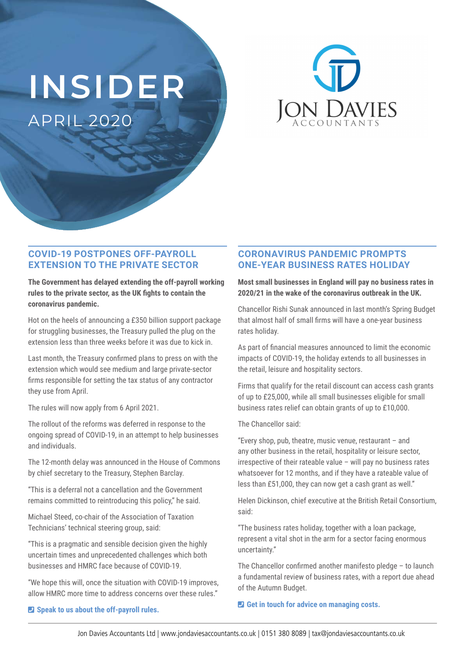# **INSIDER** APRIL 2020



### **COVID-19 POSTPONES OFF-PAYROLL EXTENSION TO THE PRIVATE SECTOR**

**The Government has delayed extending the off-payroll working rules to the private sector, as the UK fights to contain the coronavirus pandemic.**

Hot on the heels of announcing a £350 billion support package for struggling businesses, the Treasury pulled the plug on the extension less than three weeks before it was due to kick in.

Last month, the Treasury confirmed plans to press on with the extension which would see medium and large private-sector firms responsible for setting the tax status of any contractor they use from April.

The rules will now apply from 6 April 2021.

The rollout of the reforms was deferred in response to the ongoing spread of COVID-19, in an attempt to help businesses and individuals.

The 12-month delay was announced in the House of Commons by chief secretary to the Treasury, Stephen Barclay.

"This is a deferral not a cancellation and the Government remains committed to reintroducing this policy," he said.

Michael Steed, co-chair of the Association of Taxation Technicians' technical steering group, said:

"This is a pragmatic and sensible decision given the highly uncertain times and unprecedented challenges which both businesses and HMRC face because of COVID-19.

"We hope this will, once the situation with COVID-19 improves, allow HMRC more time to address concerns over these rules."

## **CORONAVIRUS PANDEMIC PROMPTS ONE-YEAR BUSINESS RATES HOLIDAY**

**Most small businesses in England will pay no business rates in 2020/21 in the wake of the coronavirus outbreak in the UK.** 

Chancellor Rishi Sunak announced in last month's Spring Budget that almost half of small firms will have a one-year business rates holiday.

As part of financial measures announced to limit the economic impacts of COVID-19, the holiday extends to all businesses in the retail, leisure and hospitality sectors.

Firms that qualify for the retail discount can access cash grants of up to £25,000, while all small businesses eligible for small business rates relief can obtain grants of up to £10,000.

The Chancellor said:

"Every shop, pub, theatre, music venue, restaurant – and any other business in the retail, hospitality or leisure sector, irrespective of their rateable value – will pay no business rates whatsoever for 12 months, and if they have a rateable value of less than £51,000, they can now get a cash grant as well."

Helen Dickinson, chief executive at the British Retail Consortium, said:

"The business rates holiday, together with a loan package, represent a vital shot in the arm for a sector facing enormous uncertainty."

The Chancellor confirmed another manifesto pledge – to launch a fundamental review of business rates, with a report due ahead of the Autumn Budget.

#### ¶ **Get in touch for advice on managing costs.**

#### ¶ **Speak to us about the off-payroll rules.**